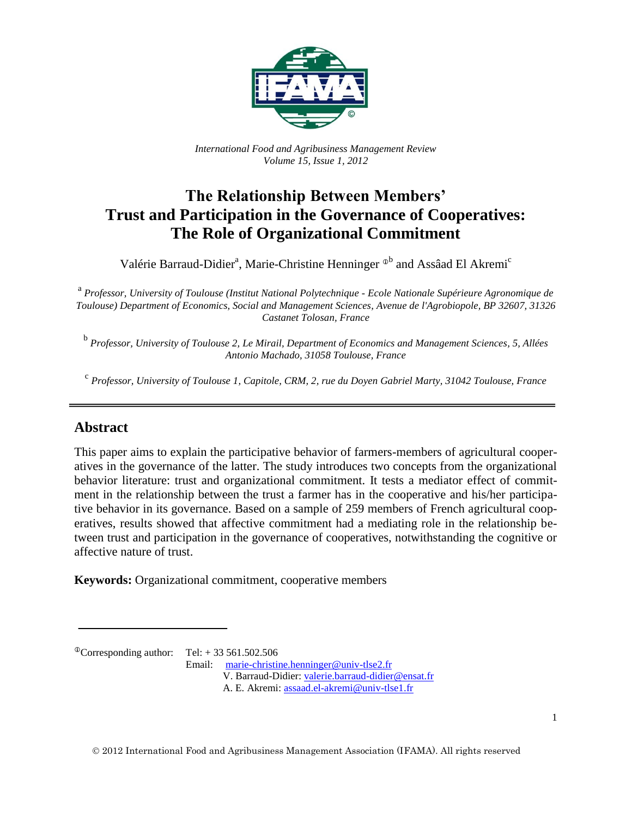

*International Food and Agribusiness Management Review Volume 15, Issue 1, 2012*

# **The Relationship Between Members' Trust and Participation in the Governance of Cooperatives: The Role of Organizational Commitment**

Valérie Barraud-Didier<sup>a</sup>, Marie-Christine Henninger <sup>®b</sup> and Assâad El Akremi<sup>c</sup>

a *Professor, University of Toulouse (Institut National Polytechnique - Ecole Nationale Supérieure Agronomique de Toulouse) Department of Economics, Social and Management Sciences, Avenue de l'Agrobiopole, BP 32607, 31326 Castanet Tolosan, France*

b *Professor, University of Toulouse 2, Le Mirail, Department of Economics and Management Sciences, 5, Allées Antonio Machado, 31058 Toulouse, France*

c *Professor, University of Toulouse 1, Capitole, CRM, 2, rue du Doyen Gabriel Marty, 31042 Toulouse, France*

## **Abstract**

This paper aims to explain the participative behavior of farmers-members of agricultural cooperatives in the governance of the latter. The study introduces two concepts from the organizational behavior literature: trust and organizational commitment. It tests a mediator effect of commitment in the relationship between the trust a farmer has in the cooperative and his/her participative behavior in its governance. Based on a sample of 259 members of French agricultural cooperatives, results showed that affective commitment had a mediating role in the relationship between trust and participation in the governance of cooperatives, notwithstanding the cognitive or affective nature of trust.

**Keywords:** Organizational commitment, cooperative members

 ${}^{\circ}$ Corresponding author: Tel: + 33 561.502.506

Email: [marie-christine.henninger@univ-tlse2.fr](mailto:marie-christine.henninger@univ-tlse2.fr) V. Barraud-Didier: [valerie.barraud-didier@ensat.fr](mailto:valerie.barraud-didier@ensat.fr) A. E. Akremi: [assaad.el-akremi@univ-tlse1.fr](mailto:assaad.el-akremi@univ-tlse1.fr)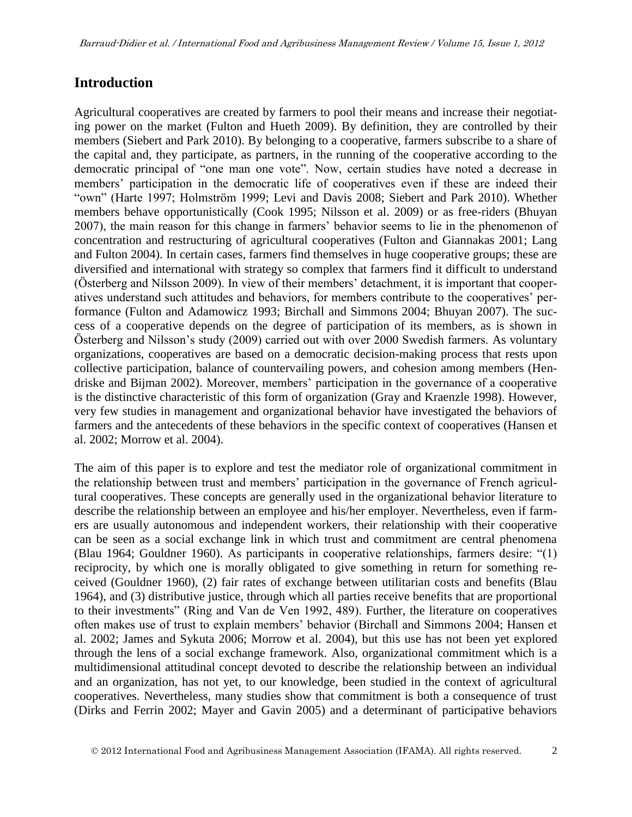### **Introduction**

Agricultural cooperatives are created by farmers to pool their means and increase their negotiating power on the market (Fulton and Hueth 2009). By definition, they are controlled by their members (Siebert and Park 2010). By belonging to a cooperative, farmers subscribe to a share of the capital and, they participate, as partners, in the running of the cooperative according to the democratic principal of "one man one vote". Now, certain studies have noted a decrease in members' participation in the democratic life of cooperatives even if these are indeed their "own" (Harte 1997; Holmström 1999; Levi and Davis 2008; Siebert and Park 2010). Whether members behave opportunistically (Cook 1995; Nilsson et al. 2009) or as free-riders (Bhuyan 2007), the main reason for this change in farmers' behavior seems to lie in the phenomenon of concentration and restructuring of agricultural cooperatives (Fulton and Giannakas 2001; Lang and Fulton 2004). In certain cases, farmers find themselves in huge cooperative groups; these are diversified and international with strategy so complex that farmers find it difficult to understand (Österberg and Nilsson 2009). In view of their members' detachment, it is important that cooperatives understand such attitudes and behaviors, for members contribute to the cooperatives' performance (Fulton and Adamowicz 1993; Birchall and Simmons 2004; Bhuyan 2007). The success of a cooperative depends on the degree of participation of its members, as is shown in Österberg and Nilsson's study (2009) carried out with over 2000 Swedish farmers. As voluntary organizations, cooperatives are based on a democratic decision-making process that rests upon collective participation, balance of countervailing powers, and cohesion among members (Hendriske and Bijman 2002). Moreover, members' participation in the governance of a cooperative is the distinctive characteristic of this form of organization (Gray and Kraenzle 1998). However, very few studies in management and organizational behavior have investigated the behaviors of farmers and the antecedents of these behaviors in the specific context of cooperatives (Hansen et al. 2002; Morrow et al. 2004).

The aim of this paper is to explore and test the mediator role of organizational commitment in the relationship between trust and members' participation in the governance of French agricultural cooperatives. These concepts are generally used in the organizational behavior literature to describe the relationship between an employee and his/her employer. Nevertheless, even if farmers are usually autonomous and independent workers, their relationship with their cooperative can be seen as a social exchange link in which trust and commitment are central phenomena (Blau 1964; Gouldner 1960). As participants in cooperative relationships, farmers desire: "(1) reciprocity, by which one is morally obligated to give something in return for something received (Gouldner 1960), (2) fair rates of exchange between utilitarian costs and benefits (Blau 1964), and (3) distributive justice, through which all parties receive benefits that are proportional to their investments" (Ring and Van de Ven 1992, 489). Further, the literature on cooperatives often makes use of trust to explain members' behavior (Birchall and Simmons 2004; Hansen et al. 2002; James and Sykuta 2006; Morrow et al. 2004), but this use has not been yet explored through the lens of a social exchange framework. Also, organizational commitment which is a multidimensional attitudinal concept devoted to describe the relationship between an individual and an organization, has not yet, to our knowledge, been studied in the context of agricultural cooperatives. Nevertheless, many studies show that commitment is both a consequence of trust (Dirks and Ferrin 2002; Mayer and Gavin 2005) and a determinant of participative behaviors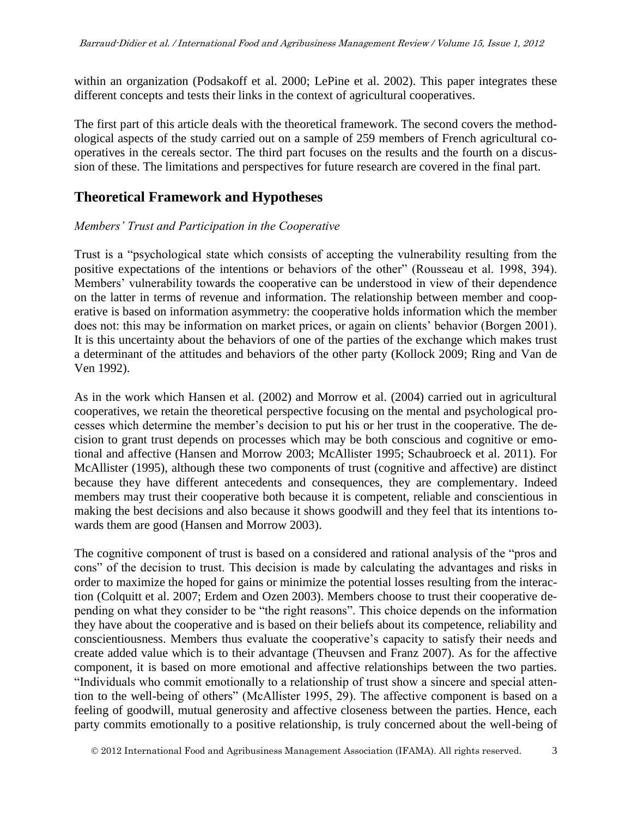within an organization (Podsakoff et al. 2000; LePine et al. 2002). This paper integrates these different concepts and tests their links in the context of agricultural cooperatives.

The first part of this article deals with the theoretical framework. The second covers the methodological aspects of the study carried out on a sample of 259 members of French agricultural cooperatives in the cereals sector. The third part focuses on the results and the fourth on a discussion of these. The limitations and perspectives for future research are covered in the final part.

## **Theoretical Framework and Hypotheses**

### *Members' Trust and Participation in the Cooperative*

Trust is a "psychological state which consists of accepting the vulnerability resulting from the positive expectations of the intentions or behaviors of the other" (Rousseau et al. 1998, 394). Members' vulnerability towards the cooperative can be understood in view of their dependence on the latter in terms of revenue and information. The relationship between member and cooperative is based on information asymmetry: the cooperative holds information which the member does not: this may be information on market prices, or again on clients' behavior (Borgen 2001). It is this uncertainty about the behaviors of one of the parties of the exchange which makes trust a determinant of the attitudes and behaviors of the other party (Kollock 2009; Ring and Van de Ven 1992).

As in the work which Hansen et al. (2002) and Morrow et al. (2004) carried out in agricultural cooperatives, we retain the theoretical perspective focusing on the mental and psychological processes which determine the member's decision to put his or her trust in the cooperative. The decision to grant trust depends on processes which may be both conscious and cognitive or emotional and affective (Hansen and Morrow 2003; McAllister 1995; Schaubroeck et al. 2011). For McAllister (1995), although these two components of trust (cognitive and affective) are distinct because they have different antecedents and consequences, they are complementary. Indeed members may trust their cooperative both because it is competent, reliable and conscientious in making the best decisions and also because it shows goodwill and they feel that its intentions towards them are good (Hansen and Morrow 2003).

The cognitive component of trust is based on a considered and rational analysis of the "pros and cons" of the decision to trust. This decision is made by calculating the advantages and risks in order to maximize the hoped for gains or minimize the potential losses resulting from the interaction (Colquitt et al. 2007; Erdem and Ozen 2003). Members choose to trust their cooperative depending on what they consider to be "the right reasons". This choice depends on the information they have about the cooperative and is based on their beliefs about its competence, reliability and conscientiousness. Members thus evaluate the cooperative's capacity to satisfy their needs and create added value which is to their advantage (Theuvsen and Franz 2007). As for the affective component, it is based on more emotional and affective relationships between the two parties. "Individuals who commit emotionally to a relationship of trust show a sincere and special attention to the well-being of others" (McAllister 1995, 29). The affective component is based on a feeling of goodwill, mutual generosity and affective closeness between the parties. Hence, each party commits emotionally to a positive relationship, is truly concerned about the well-being of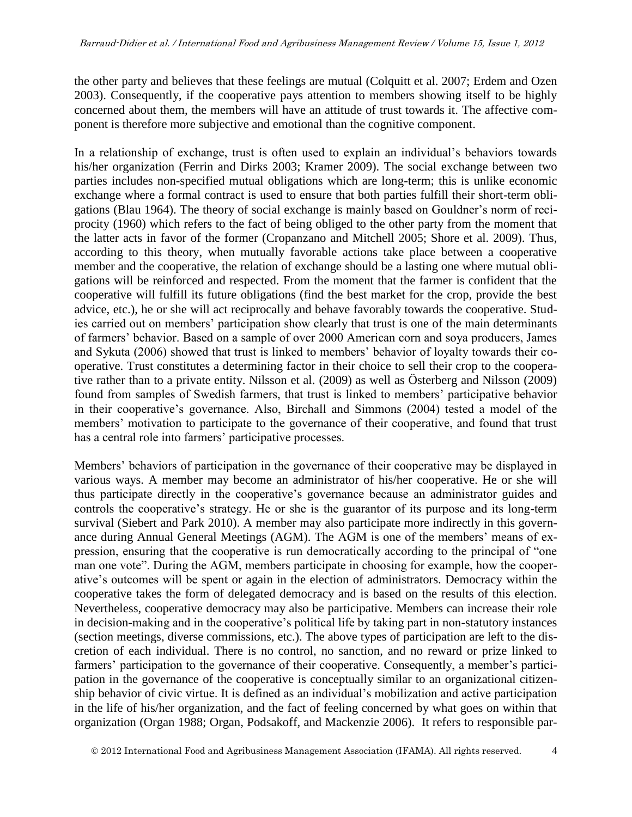the other party and believes that these feelings are mutual (Colquitt et al. 2007; Erdem and Ozen 2003). Consequently, if the cooperative pays attention to members showing itself to be highly concerned about them, the members will have an attitude of trust towards it. The affective component is therefore more subjective and emotional than the cognitive component.

In a relationship of exchange, trust is often used to explain an individual's behaviors towards his/her organization (Ferrin and Dirks 2003; Kramer 2009). The social exchange between two parties includes non-specified mutual obligations which are long-term; this is unlike economic exchange where a formal contract is used to ensure that both parties fulfill their short-term obligations (Blau 1964). The theory of social exchange is mainly based on Gouldner's norm of reciprocity (1960) which refers to the fact of being obliged to the other party from the moment that the latter acts in favor of the former (Cropanzano and Mitchell 2005; Shore et al. 2009). Thus, according to this theory, when mutually favorable actions take place between a cooperative member and the cooperative, the relation of exchange should be a lasting one where mutual obligations will be reinforced and respected. From the moment that the farmer is confident that the cooperative will fulfill its future obligations (find the best market for the crop, provide the best advice, etc.), he or she will act reciprocally and behave favorably towards the cooperative. Studies carried out on members' participation show clearly that trust is one of the main determinants of farmers' behavior. Based on a sample of over 2000 American corn and soya producers, James and Sykuta (2006) showed that trust is linked to members' behavior of loyalty towards their cooperative. Trust constitutes a determining factor in their choice to sell their crop to the cooperative rather than to a private entity. Nilsson et al. (2009) as well as Österberg and Nilsson (2009) found from samples of Swedish farmers, that trust is linked to members' participative behavior in their cooperative's governance. Also, Birchall and Simmons (2004) tested a model of the members' motivation to participate to the governance of their cooperative, and found that trust has a central role into farmers' participative processes.

Members' behaviors of participation in the governance of their cooperative may be displayed in various ways. A member may become an administrator of his/her cooperative. He or she will thus participate directly in the cooperative's governance because an administrator guides and controls the cooperative's strategy. He or she is the guarantor of its purpose and its long-term survival (Siebert and Park 2010). A member may also participate more indirectly in this governance during Annual General Meetings (AGM). The AGM is one of the members' means of expression, ensuring that the cooperative is run democratically according to the principal of "one man one vote". During the AGM, members participate in choosing for example, how the cooperative's outcomes will be spent or again in the election of administrators. Democracy within the cooperative takes the form of delegated democracy and is based on the results of this election. Nevertheless, cooperative democracy may also be participative. Members can increase their role in decision-making and in the cooperative's political life by taking part in non-statutory instances (section meetings, diverse commissions, etc.). The above types of participation are left to the discretion of each individual. There is no control, no sanction, and no reward or prize linked to farmers' participation to the governance of their cooperative. Consequently, a member's participation in the governance of the cooperative is conceptually similar to an organizational citizenship behavior of civic virtue. It is defined as an individual's mobilization and active participation in the life of his/her organization, and the fact of feeling concerned by what goes on within that organization (Organ 1988; Organ, Podsakoff, and Mackenzie 2006). It refers to responsible par-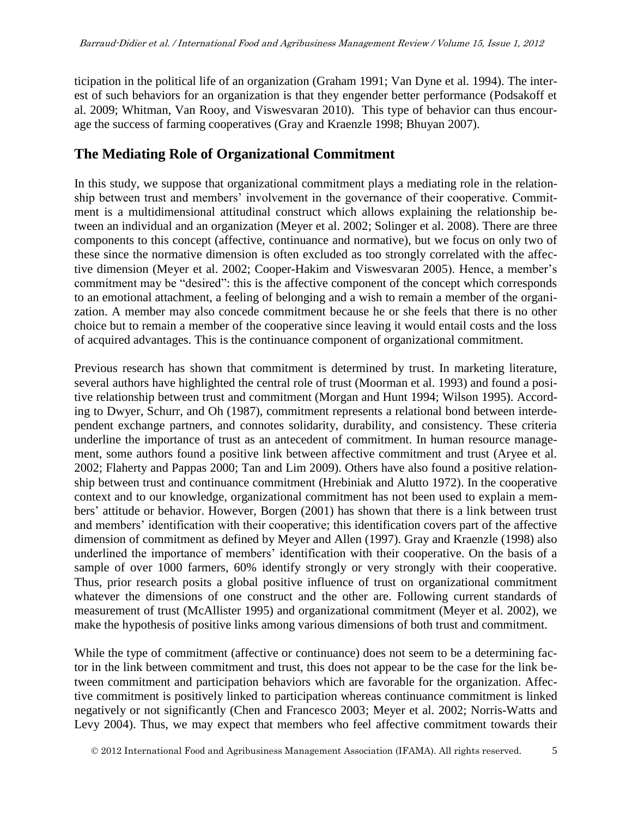ticipation in the political life of an organization (Graham 1991; Van Dyne et al. 1994). The interest of such behaviors for an organization is that they engender better performance (Podsakoff et al. 2009; Whitman, Van Rooy, and Viswesvaran 2010). This type of behavior can thus encourage the success of farming cooperatives (Gray and Kraenzle 1998; Bhuyan 2007).

## **The Mediating Role of Organizational Commitment**

In this study, we suppose that organizational commitment plays a mediating role in the relationship between trust and members' involvement in the governance of their cooperative. Commitment is a multidimensional attitudinal construct which allows explaining the relationship between an individual and an organization (Meyer et al. 2002; Solinger et al. 2008). There are three components to this concept (affective, continuance and normative), but we focus on only two of these since the normative dimension is often excluded as too strongly correlated with the affective dimension (Meyer et al. 2002; Cooper-Hakim and Viswesvaran 2005). Hence, a member's commitment may be "desired": this is the affective component of the concept which corresponds to an emotional attachment, a feeling of belonging and a wish to remain a member of the organization. A member may also concede commitment because he or she feels that there is no other choice but to remain a member of the cooperative since leaving it would entail costs and the loss of acquired advantages. This is the continuance component of organizational commitment.

Previous research has shown that commitment is determined by trust. In marketing literature, several authors have highlighted the central role of trust (Moorman et al. 1993) and found a positive relationship between trust and commitment (Morgan and Hunt 1994; Wilson 1995). According to Dwyer, Schurr, and Oh (1987), commitment represents a relational bond between interdependent exchange partners, and connotes solidarity, durability, and consistency. These criteria underline the importance of trust as an antecedent of commitment. In human resource management, some authors found a positive link between affective commitment and trust (Aryee et al. 2002; Flaherty and Pappas 2000; Tan and Lim 2009). Others have also found a positive relationship between trust and continuance commitment (Hrebiniak and Alutto 1972). In the cooperative context and to our knowledge, organizational commitment has not been used to explain a members' attitude or behavior. However, Borgen (2001) has shown that there is a link between trust and members' identification with their cooperative; this identification covers part of the affective dimension of commitment as defined by Meyer and Allen (1997). Gray and Kraenzle (1998) also underlined the importance of members' identification with their cooperative. On the basis of a sample of over 1000 farmers, 60% identify strongly or very strongly with their cooperative. Thus, prior research posits a global positive influence of trust on organizational commitment whatever the dimensions of one construct and the other are. Following current standards of measurement of trust (McAllister 1995) and organizational commitment (Meyer et al. 2002), we make the hypothesis of positive links among various dimensions of both trust and commitment.

While the type of commitment (affective or continuance) does not seem to be a determining factor in the link between commitment and trust, this does not appear to be the case for the link between commitment and participation behaviors which are favorable for the organization. Affective commitment is positively linked to participation whereas continuance commitment is linked negatively or not significantly (Chen and Francesco 2003; Meyer et al. 2002; Norris-Watts and Levy 2004). Thus, we may expect that members who feel affective commitment towards their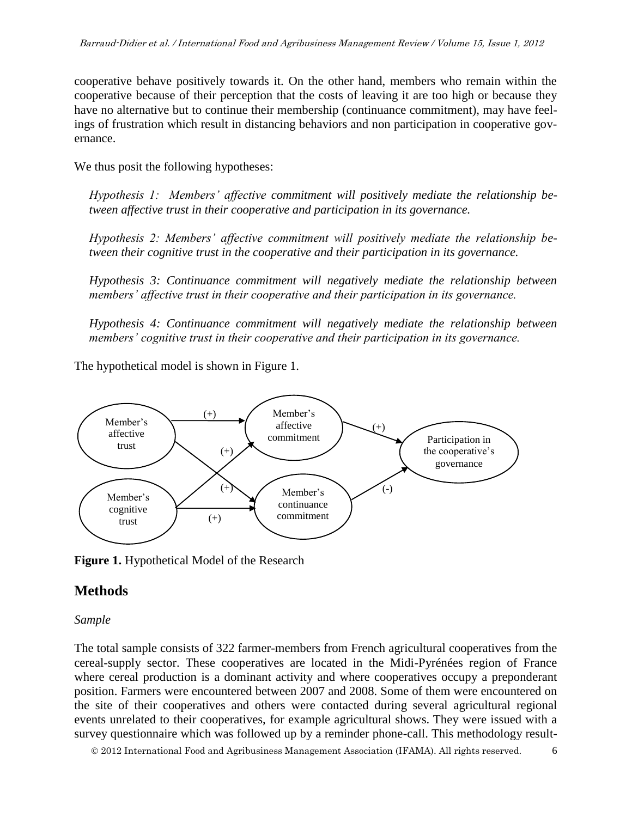cooperative behave positively towards it. On the other hand, members who remain within the cooperative because of their perception that the costs of leaving it are too high or because they have no alternative but to continue their membership (continuance commitment), may have feelings of frustration which result in distancing behaviors and non participation in cooperative governance.

We thus posit the following hypotheses:

*Hypothesis 1: Members' affective commitment will positively mediate the relationship between affective trust in their cooperative and participation in its governance.*

*Hypothesis 2: Members' affective commitment will positively mediate the relationship between their cognitive trust in the cooperative and their participation in its governance.*

*Hypothesis 3: Continuance commitment will negatively mediate the relationship between members' affective trust in their cooperative and their participation in its governance.*

*Hypothesis 4: Continuance commitment will negatively mediate the relationship between members' cognitive trust in their cooperative and their participation in its governance.* 

The hypothetical model is shown in Figure 1.



**Figure 1.** Hypothetical Model of the Research

## **Methods**

### *Sample*

The total sample consists of 322 farmer-members from French agricultural cooperatives from the cereal-supply sector. These cooperatives are located in the Midi-Pyrénées region of France where cereal production is a dominant activity and where cooperatives occupy a preponderant position. Farmers were encountered between 2007 and 2008. Some of them were encountered on the site of their cooperatives and others were contacted during several agricultural regional events unrelated to their cooperatives, for example agricultural shows. They were issued with a survey questionnaire which was followed up by a reminder phone-call. This methodology result-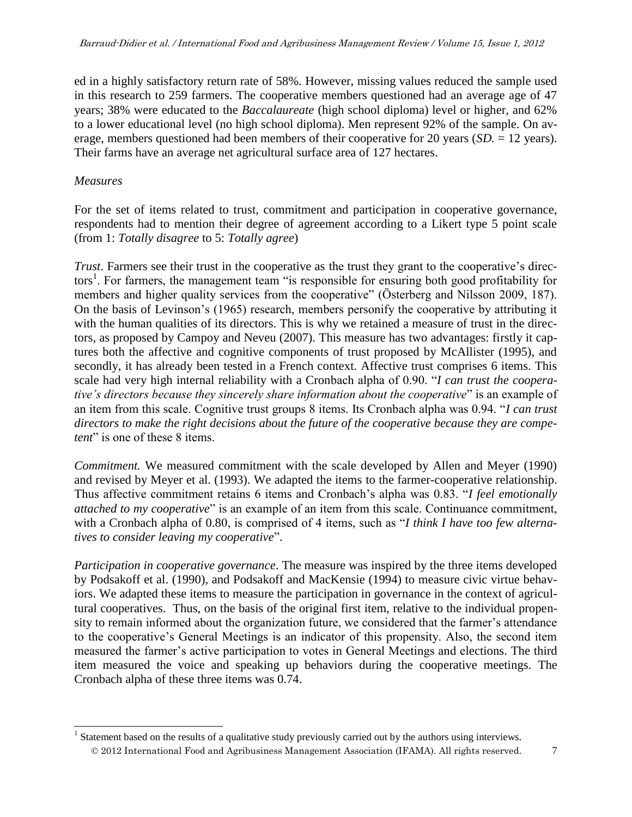ed in a highly satisfactory return rate of 58%. However, missing values reduced the sample used in this research to 259 farmers. The cooperative members questioned had an average age of 47 years; 38% were educated to the *Baccalaureate* (high school diploma) level or higher, and 62% to a lower educational level (no high school diploma). Men represent 92% of the sample. On average, members questioned had been members of their cooperative for 20 years (*SD.* = 12 years). Their farms have an average net agricultural surface area of 127 hectares.

### *Measures*

 $\overline{a}$ 

For the set of items related to trust, commitment and participation in cooperative governance, respondents had to mention their degree of agreement according to a Likert type 5 point scale (from 1: *Totally disagree* to 5: *Totally agree*)

*Trust*. Farmers see their trust in the cooperative as the trust they grant to the cooperative's directors<sup>1</sup>. For farmers, the management team "is responsible for ensuring both good profitability for members and higher quality services from the cooperative" (Österberg and Nilsson 2009, 187). On the basis of Levinson's (1965) research, members personify the cooperative by attributing it with the human qualities of its directors. This is why we retained a measure of trust in the directors, as proposed by Campoy and Neveu (2007). This measure has two advantages: firstly it captures both the affective and cognitive components of trust proposed by McAllister (1995), and secondly, it has already been tested in a French context. Affective trust comprises 6 items. This scale had very high internal reliability with a Cronbach alpha of 0.90. "*I can trust the cooperative's directors because they sincerely share information about the cooperative*" is an example of an item from this scale. Cognitive trust groups 8 items. Its Cronbach alpha was 0.94. "*I can trust directors to make the right decisions about the future of the cooperative because they are competent*" is one of these 8 items.

*Commitment.* We measured commitment with the scale developed by Allen and Meyer (1990) and revised by Meyer et al. (1993). We adapted the items to the farmer-cooperative relationship. Thus affective commitment retains 6 items and Cronbach's alpha was 0.83. "*I feel emotionally attached to my cooperative*" is an example of an item from this scale. Continuance commitment, with a Cronbach alpha of 0.80, is comprised of 4 items, such as "*I think I have too few alternatives to consider leaving my cooperative*".

*Participation in cooperative governance*. The measure was inspired by the three items developed by Podsakoff et al. (1990), and Podsakoff and MacKensie (1994) to measure civic virtue behaviors. We adapted these items to measure the participation in governance in the context of agricultural cooperatives. Thus, on the basis of the original first item, relative to the individual propensity to remain informed about the organization future, we considered that the farmer's attendance to the cooperative's General Meetings is an indicator of this propensity. Also, the second item measured the farmer's active participation to votes in General Meetings and elections. The third item measured the voice and speaking up behaviors during the cooperative meetings. The Cronbach alpha of these three items was 0.74.

2012 International Food and Agribusiness Management Association (IFAMA). All rights reserved. 7 <sup>1</sup> Statement based on the results of a qualitative study previously carried out by the authors using interviews.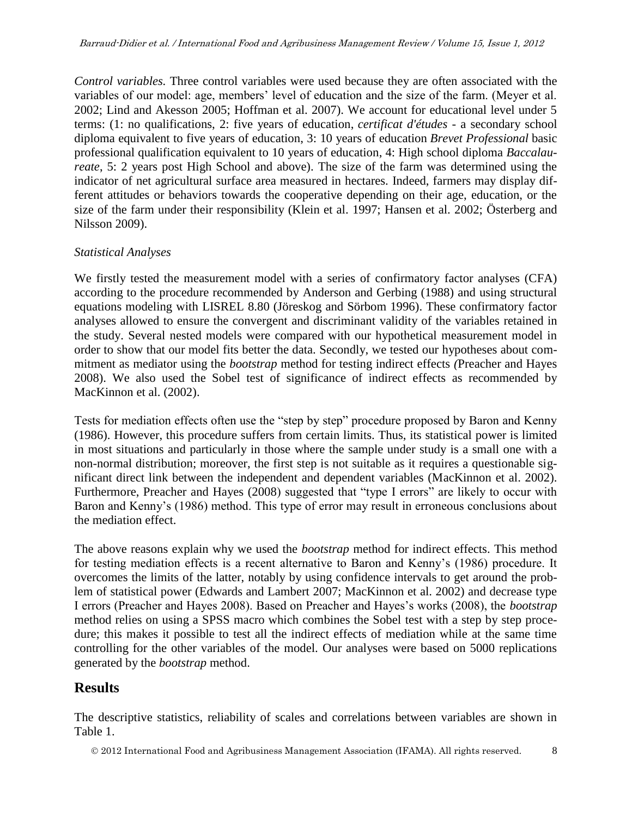*Control variables.* Three control variables were used because they are often associated with the variables of our model: age, members' level of education and the size of the farm. (Meyer et al. 2002; Lind and Akesson 2005; Hoffman et al. 2007). We account for educational level under 5 terms: (1: no qualifications, 2: five years of education, *certificat d'études* - a secondary school diploma equivalent to five years of education, 3: 10 years of education *Brevet Professional* basic professional qualification equivalent to 10 years of education, 4: High school diploma *Baccalaureate*, 5: 2 years post High School and above). The size of the farm was determined using the indicator of net agricultural surface area measured in hectares. Indeed, farmers may display different attitudes or behaviors towards the cooperative depending on their age, education, or the size of the farm under their responsibility (Klein et al. 1997; Hansen et al. 2002; Österberg and Nilsson 2009).

### *Statistical Analyses*

We firstly tested the measurement model with a series of confirmatory factor analyses (CFA) according to the procedure recommended by Anderson and Gerbing (1988) and using structural equations modeling with LISREL 8.80 (Jöreskog and Sörbom 1996). These confirmatory factor analyses allowed to ensure the convergent and discriminant validity of the variables retained in the study. Several nested models were compared with our hypothetical measurement model in order to show that our model fits better the data. Secondly, we tested our hypotheses about commitment as mediator using the *bootstrap* method for testing indirect effects *(*Preacher and Hayes 2008). We also used the Sobel test of significance of indirect effects as recommended by MacKinnon et al. (2002).

Tests for mediation effects often use the "step by step" procedure proposed by Baron and Kenny (1986). However, this procedure suffers from certain limits. Thus, its statistical power is limited in most situations and particularly in those where the sample under study is a small one with a non-normal distribution; moreover, the first step is not suitable as it requires a questionable significant direct link between the independent and dependent variables (MacKinnon et al. 2002). Furthermore, Preacher and Hayes (2008) suggested that "type I errors" are likely to occur with Baron and Kenny's (1986) method. This type of error may result in erroneous conclusions about the mediation effect.

The above reasons explain why we used the *bootstrap* method for indirect effects. This method for testing mediation effects is a recent alternative to Baron and Kenny's (1986) procedure. It overcomes the limits of the latter, notably by using confidence intervals to get around the problem of statistical power (Edwards and Lambert 2007; MacKinnon et al. 2002) and decrease type I errors (Preacher and Hayes 2008). Based on Preacher and Hayes's works (2008), the *bootstrap* method relies on using a SPSS macro which combines the Sobel test with a step by step procedure; this makes it possible to test all the indirect effects of mediation while at the same time controlling for the other variables of the model. Our analyses were based on 5000 replications generated by the *bootstrap* method.

## **Results**

The descriptive statistics, reliability of scales and correlations between variables are shown in Table 1.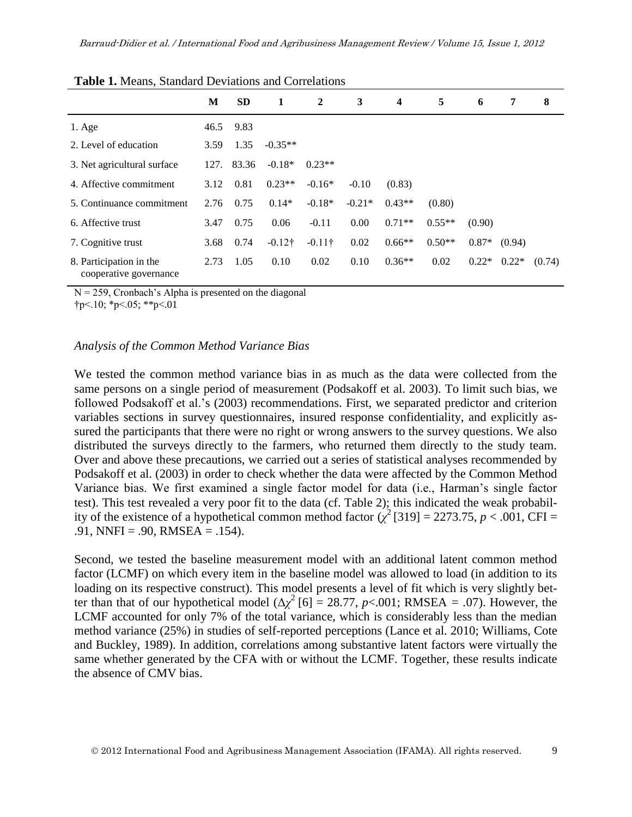| <b>Tuble 1:</b> Means, Blandard Deviations and Contenations |      |           |                |              |          |                         |          |         |         |        |  |
|-------------------------------------------------------------|------|-----------|----------------|--------------|----------|-------------------------|----------|---------|---------|--------|--|
|                                                             | М    | <b>SD</b> | 1              | $\mathbf{2}$ | 3        | $\overline{\mathbf{4}}$ | 5        | 6       | 7       | 8      |  |
| $1. \text{Age}$                                             | 46.5 | 9.83      |                |              |          |                         |          |         |         |        |  |
| 2. Level of education                                       | 3.59 | 1.35      | $-0.35**$      |              |          |                         |          |         |         |        |  |
| 3. Net agricultural surface                                 | 127. | 83.36     | $-0.18*$       | $0.23**$     |          |                         |          |         |         |        |  |
| 4. Affective commitment                                     | 3.12 | 0.81      | $0.23**$       | $-0.16*$     | $-0.10$  | (0.83)                  |          |         |         |        |  |
| 5. Continuance commitment                                   | 2.76 | 0.75      | $0.14*$        | $-0.18*$     | $-0.21*$ | $0.43**$                | (0.80)   |         |         |        |  |
| 6. Affective trust                                          | 3.47 | 0.75      | 0.06           | $-0.11$      | 0.00     | $0.71**$                | $0.55**$ | (0.90)  |         |        |  |
| 7. Cognitive trust                                          | 3.68 | 0.74      | $-0.12\dagger$ | $-0.11$ †    | 0.02     | $0.66**$                | $0.50**$ | $0.87*$ | (0.94)  |        |  |
| 8. Participation in the<br>cooperative governance           | 2.73 | 1.05      | 0.10           | 0.02         | 0.10     | $0.36**$                | 0.02     | $0.22*$ | $0.22*$ | (0.74) |  |

**Table 1.** Means, Standard Deviations and Correlations

 $N = 259$ , Cronbach's Alpha is presented on the diagonal

 $\text{tp} < 10$ ; \*p<.05; \*\*p<.01

#### *Analysis of the Common Method Variance Bias*

We tested the common method variance bias in as much as the data were collected from the same persons on a single period of measurement (Podsakoff et al. 2003). To limit such bias, we followed Podsakoff et al.'s (2003) recommendations. First, we separated predictor and criterion variables sections in survey questionnaires, insured response confidentiality, and explicitly assured the participants that there were no right or wrong answers to the survey questions. We also distributed the surveys directly to the farmers, who returned them directly to the study team. Over and above these precautions, we carried out a series of statistical analyses recommended by Podsakoff et al. (2003) in order to check whether the data were affected by the Common Method Variance bias. We first examined a single factor model for data (i.e., Harman's single factor test). This test revealed a very poor fit to the data (cf. Table 2); this indicated the weak probability of the existence of a hypothetical common method factor  $(\chi^2$  [319] = 2273.75, *p* < .001, CFI =  $.91$ , NNFI =  $.90$ , RMSEA =  $.154$ ).

Second, we tested the baseline measurement model with an additional latent common method factor (LCMF) on which every item in the baseline model was allowed to load (in addition to its loading on its respective construct). This model presents a level of fit which is very slightly better than that of our hypothetical model ( $\Delta \chi^2$  [6] = 28.77, *p*<.001; RMSEA = .07). However, the LCMF accounted for only 7% of the total variance, which is considerably less than the median method variance (25%) in studies of self-reported perceptions (Lance et al. 2010; Williams, Cote and Buckley, 1989). In addition, correlations among substantive latent factors were virtually the same whether generated by the CFA with or without the LCMF. Together, these results indicate the absence of CMV bias.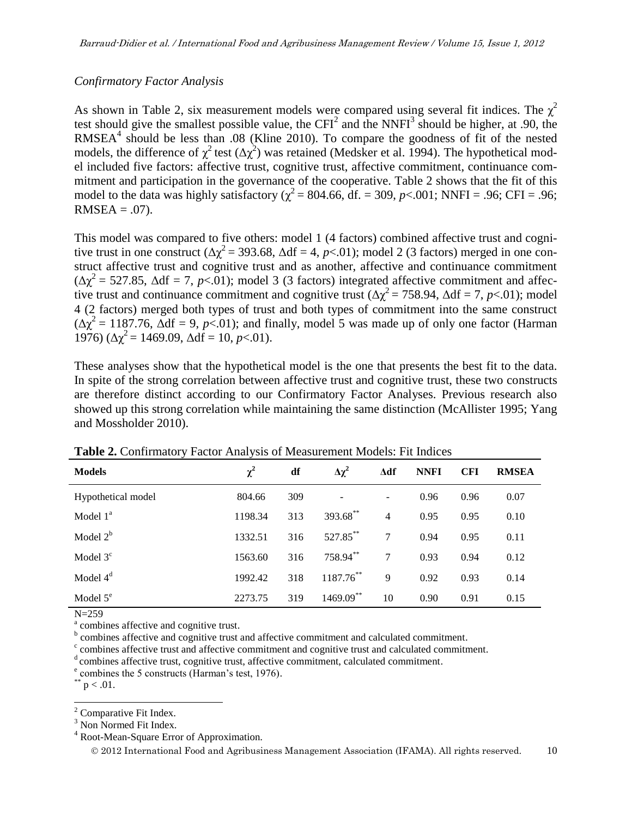### *Confirmatory Factor Analysis*

As shown in Table 2, six measurement models were compared using several fit indices. The  $\chi^2$ test should give the smallest possible value, the CFI<sup>2</sup> and the NNFI<sup>3</sup> should be higher, at .90, the  $RMSEA<sup>4</sup>$  should be less than .08 (Kline 2010). To compare the goodness of fit of the nested models, the difference of  $\chi^2$  test  $(\Delta \chi^2)$  was retained (Medsker et al. 1994). The hypothetical model included five factors: affective trust, cognitive trust, affective commitment, continuance commitment and participation in the governance of the cooperative. Table 2 shows that the fit of this model to the data was highly satisfactory ( $\chi^2$  = 804.66, df. = 309, *p*<.001; NNFI = .96; CFI = .96;  $RMSEA = .07$ ).

This model was compared to five others: model 1 (4 factors) combined affective trust and cognitive trust in one construct ( $\Delta \chi^2$  = 393.68,  $\Delta df$  = 4, *p*<.01); model 2 (3 factors) merged in one construct affective trust and cognitive trust and as another, affective and continuance commitment  $(\Delta \chi^2 = 527.85, \Delta df = 7, p<0.01)$ ; model 3 (3 factors) integrated affective commitment and affective trust and continuance commitment and cognitive trust ( $\Delta \chi^2 = 758.94$ ,  $\Delta df = 7$ , *p*<.01); model 4 (2 factors) merged both types of trust and both types of commitment into the same construct  $(\Delta \chi^2 = 1187.76, \Delta df = 9, p<0.01)$ ; and finally, model 5 was made up of only one factor (Harman 1976) ( $\Delta \chi^2$  = 1469.09,  $\Delta df$  = 10, *p* < 01).

These analyses show that the hypothetical model is the one that presents the best fit to the data. In spite of the strong correlation between affective trust and cognitive trust, these two constructs are therefore distinct according to our Confirmatory Factor Analyses. Previous research also showed up this strong correlation while maintaining the same distinction (McAllister 1995; Yang and Mossholder 2010).

| <b>TWORE SOMMITTINGS</b> I RECOVERING TO DETAIL DESCRIPTION THOUGHS. I IN THURSES |          |     |                 |                          |             |            |              |  |  |  |
|-----------------------------------------------------------------------------------|----------|-----|-----------------|--------------------------|-------------|------------|--------------|--|--|--|
| <b>Models</b>                                                                     | $\chi^2$ | df  | $\Delta \chi^2$ | $\Delta df$              | <b>NNFI</b> | <b>CFI</b> | <b>RMSEA</b> |  |  |  |
| Hypothetical model                                                                | 804.66   | 309 |                 | $\overline{\phantom{a}}$ | 0.96        | 0.96       | 0.07         |  |  |  |
| Model $1^a$                                                                       | 1198.34  | 313 | 393.68**        | $\overline{4}$           | 0.95        | 0.95       | 0.10         |  |  |  |
| Model $2^b$                                                                       | 1332.51  | 316 | 527.85**        | 7                        | 0.94        | 0.95       | 0.11         |  |  |  |
| Model $3c$                                                                        | 1563.60  | 316 | 758.94**        | 7                        | 0.93        | 0.94       | 0.12         |  |  |  |
| Model $4d$                                                                        | 1992.42  | 318 | 1187.76**       | 9                        | 0.92        | 0.93       | 0.14         |  |  |  |
| Model $5^e$                                                                       | 2273.75  | 319 | $1469.09***$    | 10                       | 0.90        | 0.91       | 0.15         |  |  |  |

**Table 2.** Confirmatory Factor Analysis of Measurement Models: Fit Indices

N=259

<sup>a</sup> combines affective and cognitive trust.

<sup>b</sup> combines affective and cognitive trust and affective commitment and calculated commitment.

c combines affective trust and affective commitment and cognitive trust and calculated commitment.

<sup>d</sup> combines affective trust, cognitive trust, affective commitment, calculated commitment.

 $^{**}$  p  $< .01.$ 

<sup>4</sup> Root-Mean-Square Error of Approximation.

e combines the 5 constructs (Harman's test, 1976).

l  $2^2$  Comparative Fit Index.

<sup>&</sup>lt;sup>3</sup> Non Normed Fit Index.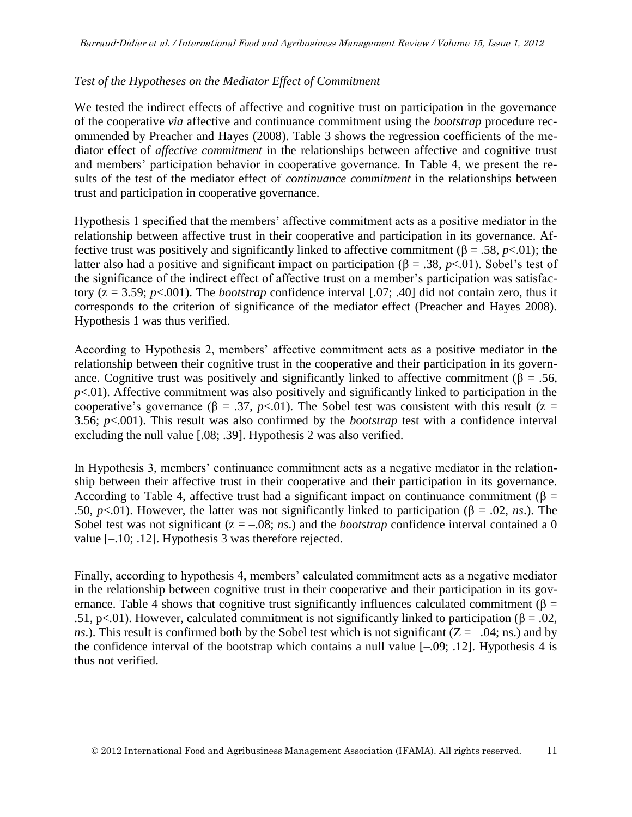### *Test of the Hypotheses on the Mediator Effect of Commitment*

We tested the indirect effects of affective and cognitive trust on participation in the governance of the cooperative *via* affective and continuance commitment using the *bootstrap* procedure recommended by Preacher and Hayes (2008). Table 3 shows the regression coefficients of the mediator effect of *affective commitment* in the relationships between affective and cognitive trust and members' participation behavior in cooperative governance. In Table 4, we present the results of the test of the mediator effect of *continuance commitment* in the relationships between trust and participation in cooperative governance.

Hypothesis 1 specified that the members' affective commitment acts as a positive mediator in the relationship between affective trust in their cooperative and participation in its governance. Affective trust was positively and significantly linked to affective commitment (β = .58,  $p$ <.01); the latter also had a positive and significant impact on participation (β = .38,  $p$ <.01). Sobel's test of the significance of the indirect effect of affective trust on a member's participation was satisfactory ( $z = 3.59$ ;  $p < .001$ ). The *bootstrap* confidence interval [.07; .40] did not contain zero, thus it corresponds to the criterion of significance of the mediator effect (Preacher and Hayes 2008). Hypothesis 1 was thus verified.

According to Hypothesis 2, members' affective commitment acts as a positive mediator in the relationship between their cognitive trust in the cooperative and their participation in its governance. Cognitive trust was positively and significantly linked to affective commitment ( $\beta = .56$ ,  $p<.01$ ). Affective commitment was also positively and significantly linked to participation in the cooperative's governance ( $\beta = .37$ ,  $p < .01$ ). The Sobel test was consistent with this result ( $z =$ 3.56; *p*<.001). This result was also confirmed by the *bootstrap* test with a confidence interval excluding the null value [.08; .39]. Hypothesis 2 was also verified.

In Hypothesis 3, members' continuance commitment acts as a negative mediator in the relationship between their affective trust in their cooperative and their participation in its governance. According to Table 4, affective trust had a significant impact on continuance commitment ( $\beta$  = .50, *p*<.01). However, the latter was not significantly linked to participation (β = .02, *ns*.). The Sobel test was not significant  $(z = -.08; ns.)$  and the *bootstrap* confidence interval contained a 0 value  $[-.10; .12]$ . Hypothesis 3 was therefore rejected.

Finally, according to hypothesis 4, members' calculated commitment acts as a negative mediator in the relationship between cognitive trust in their cooperative and their participation in its governance. Table 4 shows that cognitive trust significantly influences calculated commitment ( $\beta$  = .51, p<.01). However, calculated commitment is not significantly linked to participation ( $\beta = .02$ , *ns*.). This result is confirmed both by the Sobel test which is not significant ( $Z = -0.04$ ; ns.) and by the confidence interval of the bootstrap which contains a null value [–.09; .12]. Hypothesis 4 is thus not verified.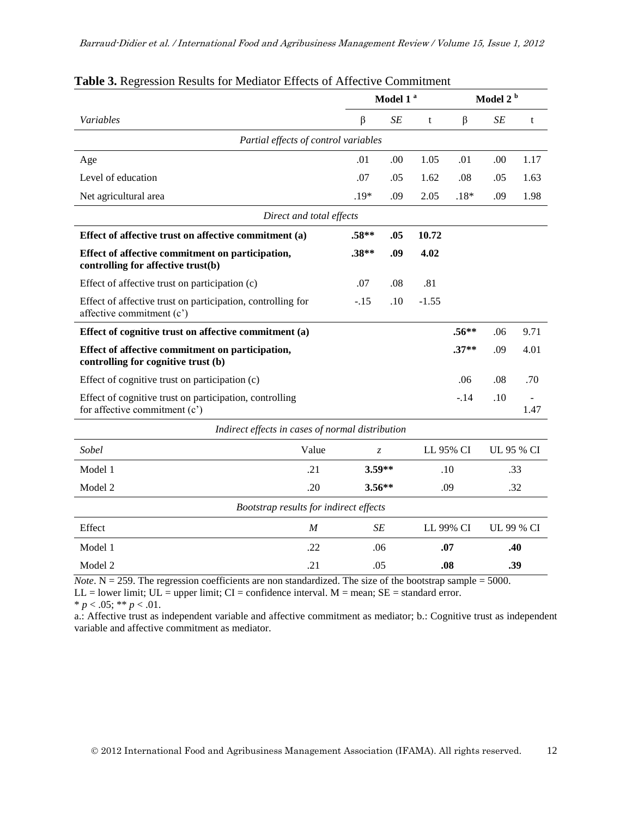|                                                                                            | Model 1 <sup>a</sup> |                                            |     |           |            | Model 2 <sup>b</sup> |      |  |  |  |
|--------------------------------------------------------------------------------------------|----------------------|--------------------------------------------|-----|-----------|------------|----------------------|------|--|--|--|
| Variables                                                                                  |                      | β                                          | SE  | t         | $\beta$    | SE                   | t    |  |  |  |
| Partial effects of control variables                                                       |                      |                                            |     |           |            |                      |      |  |  |  |
| Age                                                                                        |                      | .01                                        | .00 | 1.05      | .01        | .00                  | 1.17 |  |  |  |
| Level of education                                                                         |                      | .07                                        | .05 | 1.62      | .08        | .05                  | 1.63 |  |  |  |
| Net agricultural area                                                                      |                      | $.19*$                                     | .09 | 2.05      | $.18*$     | .09                  | 1.98 |  |  |  |
| Direct and total effects                                                                   |                      |                                            |     |           |            |                      |      |  |  |  |
| Effect of affective trust on affective commitment (a)                                      |                      | $.58**$                                    | .05 | 10.72     |            |                      |      |  |  |  |
| Effect of affective commitment on participation,<br>controlling for affective trust(b)     |                      | $.38**$                                    | .09 | 4.02      |            |                      |      |  |  |  |
| Effect of affective trust on participation (c)                                             |                      | .07                                        | .08 | .81       |            |                      |      |  |  |  |
| Effect of affective trust on participation, controlling for<br>affective commitment (c')   |                      | $-.15$                                     | .10 | $-1.55$   |            |                      |      |  |  |  |
| Effect of cognitive trust on affective commitment (a)                                      |                      |                                            |     |           | $.56***$   | .06                  | 9.71 |  |  |  |
| Effect of affective commitment on participation,<br>controlling for cognitive trust (b)    |                      |                                            |     |           | $.37**$    | .09                  | 4.01 |  |  |  |
| Effect of cognitive trust on participation (c)                                             |                      |                                            |     |           | .06        | .08                  | .70  |  |  |  |
| Effect of cognitive trust on participation, controlling<br>for affective commitment $(c')$ |                      |                                            |     |           | $-.14$     | .10                  | 1.47 |  |  |  |
| Indirect effects in cases of normal distribution                                           |                      |                                            |     |           |            |                      |      |  |  |  |
| Sobel                                                                                      | Value                | LL 95% CI<br>$\ensuremath{\mathnormal{Z}}$ |     |           | UL 95 % CI |                      |      |  |  |  |
| Model 1                                                                                    | .21                  | 3.59**                                     |     | .10       |            | .33                  |      |  |  |  |
| Model 2                                                                                    | .20                  | $3.56**$                                   |     | .09       |            | .32                  |      |  |  |  |
| Bootstrap results for indirect effects                                                     |                      |                                            |     |           |            |                      |      |  |  |  |
| Effect                                                                                     | M                    | SE                                         |     | LL 99% CI |            | UL 99 % CI           |      |  |  |  |
| Model 1                                                                                    | .22                  | .06                                        |     |           | .07        |                      | .40  |  |  |  |
| Model 2                                                                                    | .21                  | .05                                        |     | .08       |            | .39                  |      |  |  |  |

#### **Table 3.** Regression Results for Mediator Effects of Affective Commitment

*Note*.  $N = 259$ . The regression coefficients are non standardized. The size of the bootstrap sample = 5000.  $LL =$  lower limit;  $UL =$  upper limit;  $CI =$  confidence interval.  $M =$  mean;  $SE =$  standard error.

\*  $p < .05$ ; \*\*  $p < .01$ .

a.: Affective trust as independent variable and affective commitment as mediator; b.: Cognitive trust as independent variable and affective commitment as mediator.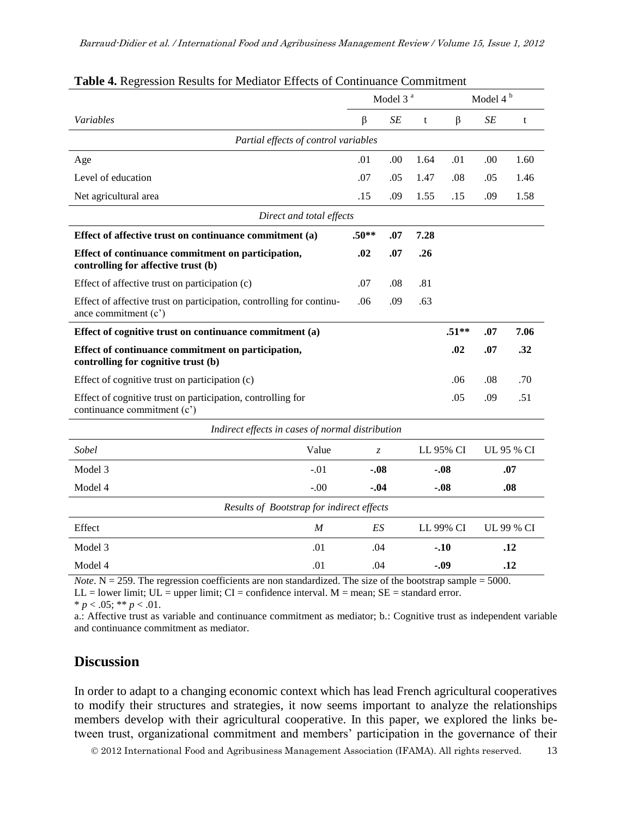|                                                                                              |         | Model 3 <sup>a</sup> |               |           | Model 4 <sup>b</sup> |            |      |  |  |  |  |
|----------------------------------------------------------------------------------------------|---------|----------------------|---------------|-----------|----------------------|------------|------|--|--|--|--|
| Variables                                                                                    | $\beta$ |                      | SE            | t         | $\beta$              | SE         | t    |  |  |  |  |
| Partial effects of control variables                                                         |         |                      |               |           |                      |            |      |  |  |  |  |
| Age                                                                                          | .01     |                      | .00           | 1.64      | .01                  | .00        | 1.60 |  |  |  |  |
| Level of education                                                                           | .07     |                      | .05           | 1.47      | .08                  | .05        | 1.46 |  |  |  |  |
| Net agricultural area                                                                        | .15     |                      | .09           | 1.55      | .15                  | .09        | 1.58 |  |  |  |  |
| Direct and total effects                                                                     |         |                      |               |           |                      |            |      |  |  |  |  |
| Effect of affective trust on continuance commitment (a)                                      | $.50**$ |                      | .07           | 7.28      |                      |            |      |  |  |  |  |
| Effect of continuance commitment on participation,<br>controlling for affective trust (b)    | .02     |                      | .07           | .26       |                      |            |      |  |  |  |  |
| Effect of affective trust on participation (c)                                               | .07     |                      | .08           | .81       |                      |            |      |  |  |  |  |
| Effect of affective trust on participation, controlling for continu-<br>ance commitment (c') | .06     |                      | .09           | .63       |                      |            |      |  |  |  |  |
| Effect of cognitive trust on continuance commitment (a)                                      |         |                      |               |           | $.51**$              | .07        | 7.06 |  |  |  |  |
| Effect of continuance commitment on participation,<br>controlling for cognitive trust (b)    |         |                      |               |           | .02                  | .07        | .32  |  |  |  |  |
| Effect of cognitive trust on participation (c)                                               |         |                      |               |           | .06                  | .08        | .70  |  |  |  |  |
| Effect of cognitive trust on participation, controlling for<br>continuance commitment (c')   |         |                      |               |           | .05                  | .09        | .51  |  |  |  |  |
| Indirect effects in cases of normal distribution                                             |         |                      |               |           |                      |            |      |  |  |  |  |
| Sobel<br>Value                                                                               |         | $\mathcal{Z}$        |               |           | LL 95% CI            | UL 95 % CI |      |  |  |  |  |
| Model 3<br>$-.01$                                                                            | -.08    |                      |               | $-.08$    |                      | .07        |      |  |  |  |  |
| Model 4<br>$-.00$                                                                            |         | $-.04$               |               | $-.08$    |                      | .08        |      |  |  |  |  |
| Results of Bootstrap for indirect effects                                                    |         |                      |               |           |                      |            |      |  |  |  |  |
| Effect<br>$\boldsymbol{M}$                                                                   |         | ES                   |               | LL 99% CI |                      | UL 99 % CI |      |  |  |  |  |
| Model 3<br>.01                                                                               |         | .04                  |               |           | $-.10$               |            | .12  |  |  |  |  |
| Model 4<br>.01                                                                               |         |                      | .04<br>$-.09$ |           |                      | .12        |      |  |  |  |  |

#### **Table 4.** Regression Results for Mediator Effects of Continuance Commitment

*Note*.  $N = 259$ . The regression coefficients are non standardized. The size of the bootstrap sample = 5000.  $LL =$  lower limit;  $UL =$  upper limit;  $CI =$  confidence interval.  $M =$  mean;  $SE =$  standard error.

\*  $p < .05$ ; \*\*  $p < .01$ .

a.: Affective trust as variable and continuance commitment as mediator; b.: Cognitive trust as independent variable and continuance commitment as mediator.

### **Discussion**

In order to adapt to a changing economic context which has lead French agricultural cooperatives to modify their structures and strategies, it now seems important to analyze the relationships members develop with their agricultural cooperative. In this paper, we explored the links between trust, organizational commitment and members' participation in the governance of their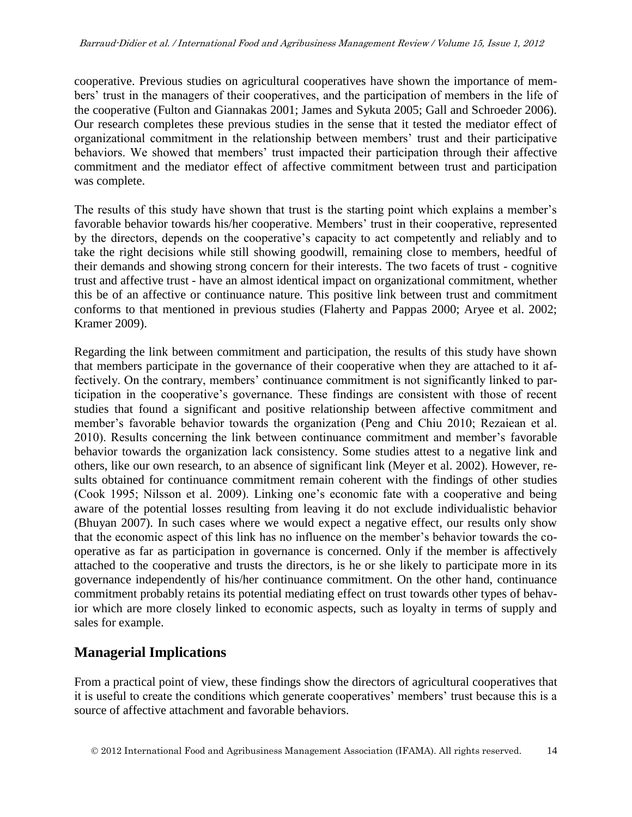cooperative. Previous studies on agricultural cooperatives have shown the importance of members' trust in the managers of their cooperatives, and the participation of members in the life of the cooperative (Fulton and Giannakas 2001; James and Sykuta 2005; Gall and Schroeder 2006). Our research completes these previous studies in the sense that it tested the mediator effect of organizational commitment in the relationship between members' trust and their participative behaviors. We showed that members' trust impacted their participation through their affective commitment and the mediator effect of affective commitment between trust and participation was complete.

The results of this study have shown that trust is the starting point which explains a member's favorable behavior towards his/her cooperative. Members' trust in their cooperative, represented by the directors, depends on the cooperative's capacity to act competently and reliably and to take the right decisions while still showing goodwill, remaining close to members, heedful of their demands and showing strong concern for their interests. The two facets of trust - cognitive trust and affective trust - have an almost identical impact on organizational commitment, whether this be of an affective or continuance nature. This positive link between trust and commitment conforms to that mentioned in previous studies (Flaherty and Pappas 2000; Aryee et al. 2002; Kramer 2009).

Regarding the link between commitment and participation, the results of this study have shown that members participate in the governance of their cooperative when they are attached to it affectively. On the contrary, members' continuance commitment is not significantly linked to participation in the cooperative's governance. These findings are consistent with those of recent studies that found a significant and positive relationship between affective commitment and member's favorable behavior towards the organization (Peng and Chiu 2010; Rezaiean et al. 2010). Results concerning the link between continuance commitment and member's favorable behavior towards the organization lack consistency. Some studies attest to a negative link and others, like our own research, to an absence of significant link (Meyer et al. 2002). However, results obtained for continuance commitment remain coherent with the findings of other studies (Cook 1995; Nilsson et al. 2009). Linking one's economic fate with a cooperative and being aware of the potential losses resulting from leaving it do not exclude individualistic behavior (Bhuyan 2007). In such cases where we would expect a negative effect, our results only show that the economic aspect of this link has no influence on the member's behavior towards the cooperative as far as participation in governance is concerned. Only if the member is affectively attached to the cooperative and trusts the directors, is he or she likely to participate more in its governance independently of his/her continuance commitment. On the other hand, continuance commitment probably retains its potential mediating effect on trust towards other types of behavior which are more closely linked to economic aspects, such as loyalty in terms of supply and sales for example.

## **Managerial Implications**

From a practical point of view, these findings show the directors of agricultural cooperatives that it is useful to create the conditions which generate cooperatives' members' trust because this is a source of affective attachment and favorable behaviors.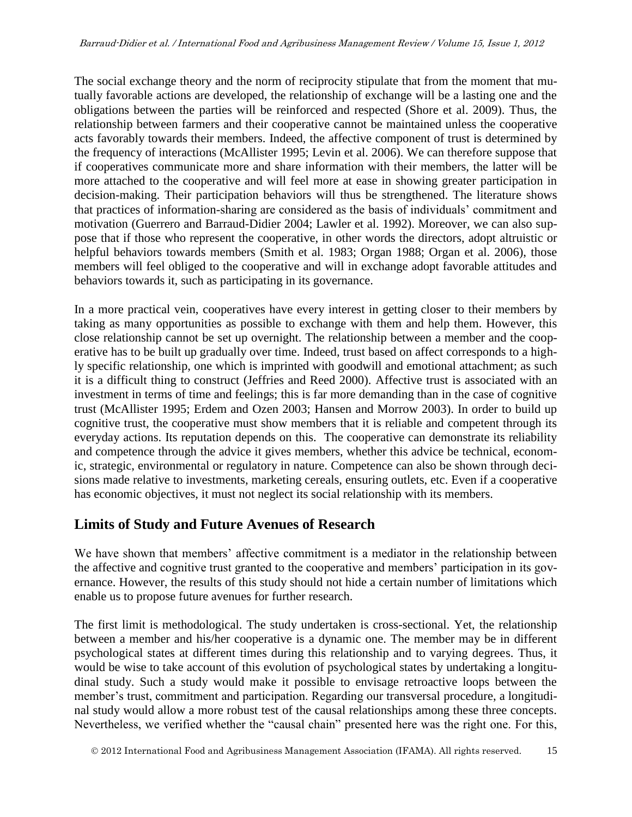The social exchange theory and the norm of reciprocity stipulate that from the moment that mutually favorable actions are developed, the relationship of exchange will be a lasting one and the obligations between the parties will be reinforced and respected (Shore et al. 2009). Thus, the relationship between farmers and their cooperative cannot be maintained unless the cooperative acts favorably towards their members. Indeed, the affective component of trust is determined by the frequency of interactions (McAllister 1995; Levin et al. 2006). We can therefore suppose that if cooperatives communicate more and share information with their members, the latter will be more attached to the cooperative and will feel more at ease in showing greater participation in decision-making. Their participation behaviors will thus be strengthened. The literature shows that practices of information-sharing are considered as the basis of individuals' commitment and motivation (Guerrero and Barraud-Didier 2004; Lawler et al. 1992). Moreover, we can also suppose that if those who represent the cooperative, in other words the directors, adopt altruistic or helpful behaviors towards members (Smith et al. 1983; Organ 1988; Organ et al. 2006), those members will feel obliged to the cooperative and will in exchange adopt favorable attitudes and behaviors towards it, such as participating in its governance.

In a more practical vein, cooperatives have every interest in getting closer to their members by taking as many opportunities as possible to exchange with them and help them. However, this close relationship cannot be set up overnight. The relationship between a member and the cooperative has to be built up gradually over time. Indeed, trust based on affect corresponds to a highly specific relationship, one which is imprinted with goodwill and emotional attachment; as such it is a difficult thing to construct (Jeffries and Reed 2000). Affective trust is associated with an investment in terms of time and feelings; this is far more demanding than in the case of cognitive trust (McAllister 1995; Erdem and Ozen 2003; Hansen and Morrow 2003). In order to build up cognitive trust, the cooperative must show members that it is reliable and competent through its everyday actions. Its reputation depends on this. The cooperative can demonstrate its reliability and competence through the advice it gives members, whether this advice be technical, economic, strategic, environmental or regulatory in nature. Competence can also be shown through decisions made relative to investments, marketing cereals, ensuring outlets, etc. Even if a cooperative has economic objectives, it must not neglect its social relationship with its members.

## **Limits of Study and Future Avenues of Research**

We have shown that members' affective commitment is a mediator in the relationship between the affective and cognitive trust granted to the cooperative and members' participation in its governance. However, the results of this study should not hide a certain number of limitations which enable us to propose future avenues for further research.

The first limit is methodological. The study undertaken is cross-sectional. Yet, the relationship between a member and his/her cooperative is a dynamic one. The member may be in different psychological states at different times during this relationship and to varying degrees. Thus, it would be wise to take account of this evolution of psychological states by undertaking a longitudinal study. Such a study would make it possible to envisage retroactive loops between the member's trust, commitment and participation. Regarding our transversal procedure, a longitudinal study would allow a more robust test of the causal relationships among these three concepts. Nevertheless, we verified whether the "causal chain" presented here was the right one. For this,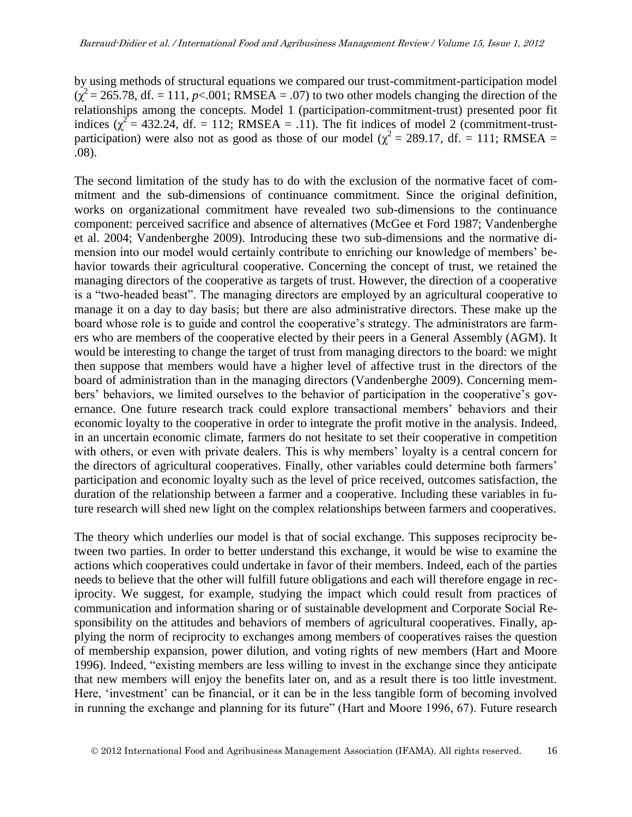by using methods of structural equations we compared our trust-commitment-participation model  $(\chi^2 = 265.78$ , df. = 111, *p*<.001; RMSEA = .07) to two other models changing the direction of the relationships among the concepts. Model 1 (participation-commitment-trust) presented poor fit indices ( $\chi^2$  = 432.24, df. = 112; RMSEA = .11). The fit indices of model 2 (commitment-trustparticipation) were also not as good as those of our model ( $\chi^2$  = 289.17, df. = 111; RMSEA = .08).

The second limitation of the study has to do with the exclusion of the normative facet of commitment and the sub-dimensions of continuance commitment. Since the original definition, works on organizational commitment have revealed two sub-dimensions to the continuance component: perceived sacrifice and absence of alternatives (McGee et Ford 1987; Vandenberghe et al. 2004; Vandenberghe 2009). Introducing these two sub-dimensions and the normative dimension into our model would certainly contribute to enriching our knowledge of members' behavior towards their agricultural cooperative. Concerning the concept of trust, we retained the managing directors of the cooperative as targets of trust. However, the direction of a cooperative is a "two-headed beast". The managing directors are employed by an agricultural cooperative to manage it on a day to day basis; but there are also administrative directors. These make up the board whose role is to guide and control the cooperative's strategy. The administrators are farmers who are members of the cooperative elected by their peers in a General Assembly (AGM). It would be interesting to change the target of trust from managing directors to the board: we might then suppose that members would have a higher level of affective trust in the directors of the board of administration than in the managing directors (Vandenberghe 2009). Concerning members' behaviors, we limited ourselves to the behavior of participation in the cooperative's governance. One future research track could explore transactional members' behaviors and their economic loyalty to the cooperative in order to integrate the profit motive in the analysis. Indeed, in an uncertain economic climate, farmers do not hesitate to set their cooperative in competition with others, or even with private dealers. This is why members' loyalty is a central concern for the directors of agricultural cooperatives. Finally, other variables could determine both farmers' participation and economic loyalty such as the level of price received, outcomes satisfaction, the duration of the relationship between a farmer and a cooperative. Including these variables in future research will shed new light on the complex relationships between farmers and cooperatives.

The theory which underlies our model is that of social exchange. This supposes reciprocity between two parties. In order to better understand this exchange, it would be wise to examine the actions which cooperatives could undertake in favor of their members. Indeed, each of the parties needs to believe that the other will fulfill future obligations and each will therefore engage in reciprocity. We suggest, for example, studying the impact which could result from practices of communication and information sharing or of sustainable development and Corporate Social Responsibility on the attitudes and behaviors of members of agricultural cooperatives. Finally, applying the norm of reciprocity to exchanges among members of cooperatives raises the question of membership expansion, power dilution, and voting rights of new members (Hart and Moore 1996). Indeed, "existing members are less willing to invest in the exchange since they anticipate that new members will enjoy the benefits later on, and as a result there is too little investment. Here, 'investment' can be financial, or it can be in the less tangible form of becoming involved in running the exchange and planning for its future" (Hart and Moore 1996, 67). Future research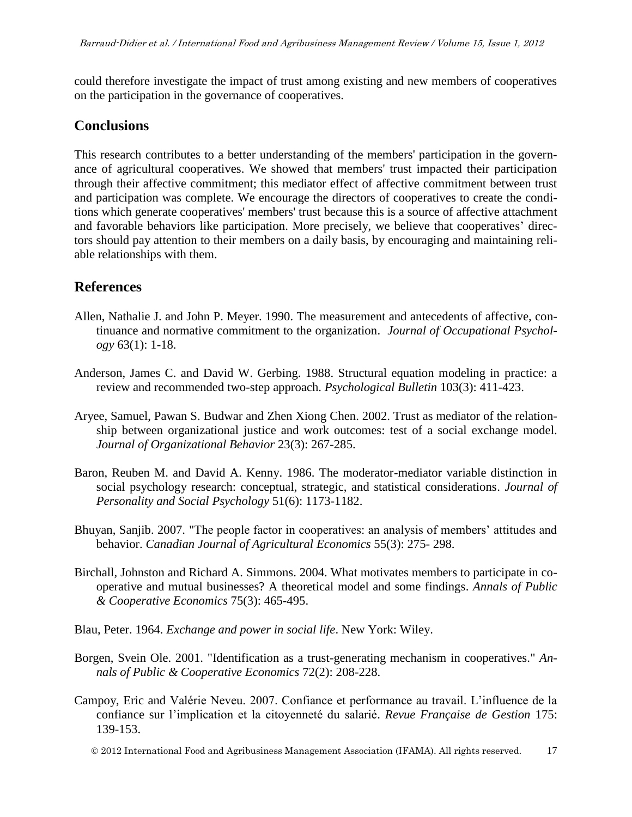could therefore investigate the impact of trust among existing and new members of cooperatives on the participation in the governance of cooperatives.

### **Conclusions**

This research contributes to a better understanding of the members' participation in the governance of agricultural cooperatives. We showed that members' trust impacted their participation through their affective commitment; this mediator effect of affective commitment between trust and participation was complete. We encourage the directors of cooperatives to create the conditions which generate cooperatives' members' trust because this is a source of affective attachment and favorable behaviors like participation. More precisely, we believe that cooperatives' directors should pay attention to their members on a daily basis, by encouraging and maintaining reliable relationships with them.

### **References**

- Allen, Nathalie J. and John P. Meyer. 1990. The measurement and antecedents of affective, continuance and normative commitment to the organization. *Journal of Occupational Psychology* 63(1): 1-18.
- Anderson, James C. and David W. Gerbing. 1988. Structural equation modeling in practice: a review and recommended two-step approach. *Psychological Bulletin* 103(3): 411-423.
- Aryee, Samuel, Pawan S. Budwar and Zhen Xiong Chen. 2002. Trust as mediator of the relationship between organizational justice and work outcomes: test of a social exchange model. *Journal of Organizational Behavior* 23(3): 267-285.
- Baron, Reuben M. and David A. Kenny. 1986. The moderator-mediator variable distinction in social psychology research: conceptual, strategic, and statistical considerations. *Journal of Personality and Social Psychology* 51(6): 1173-1182.
- Bhuyan, Sanjib. 2007. "The people factor in cooperatives: an analysis of members' attitudes and behavior. *Canadian Journal of Agricultural Economics* 55(3): 275- 298.
- Birchall, Johnston and Richard A. Simmons. 2004. What motivates members to participate in cooperative and mutual businesses? A theoretical model and some findings. *Annals of Public & Cooperative Economics* 75(3): 465-495.
- Blau, Peter. 1964. *Exchange and power in social life*. New York: Wiley.
- Borgen, Svein Ole. 2001. "Identification as a trust-generating mechanism in cooperatives." *Annals of Public & Cooperative Economics* 72(2): 208-228.
- Campoy, Eric and Valérie Neveu. 2007. Confiance et performance au travail. L'influence de la confiance sur l'implication et la citoyenneté du salarié. *Revue Française de Gestion* 175: 139-153.
	- 2012 International Food and Agribusiness Management Association (IFAMA). All rights reserved. 17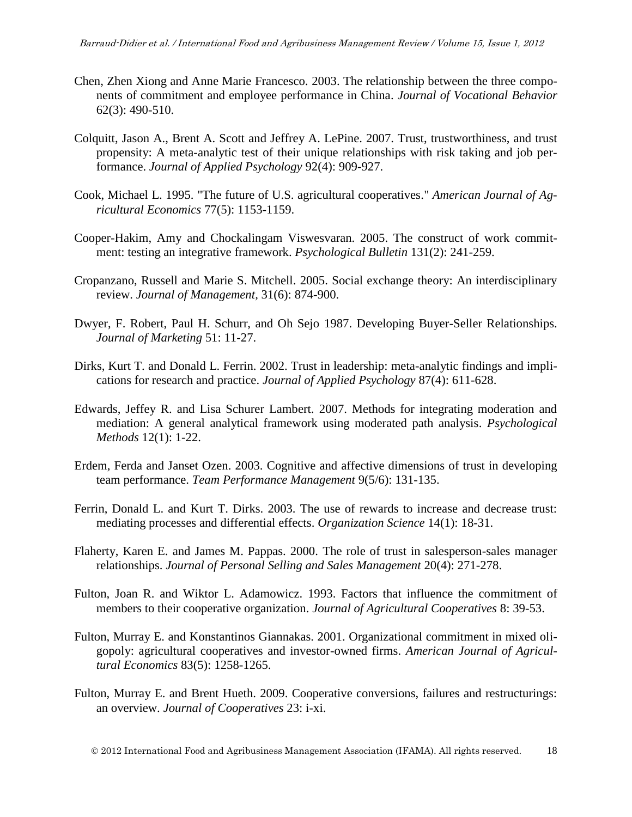- Chen, Zhen Xiong and Anne Marie Francesco. 2003. The relationship between the three components of commitment and employee performance in China. *Journal of Vocational Behavior* 62(3): 490-510.
- Colquitt, Jason A., Brent A. Scott and Jeffrey A. LePine. 2007. Trust, trustworthiness, and trust propensity: A meta-analytic test of their unique relationships with risk taking and job performance. *Journal of Applied Psychology* 92(4): 909-927.
- Cook, Michael L. 1995. "The future of U.S. agricultural cooperatives." *American Journal of Agricultural Economics* 77(5): 1153-1159.
- Cooper-Hakim, Amy and Chockalingam Viswesvaran. 2005. The construct of work commitment: testing an integrative framework. *Psychological Bulletin* 131(2): 241-259.
- Cropanzano, Russell and Marie S. Mitchell. 2005. Social exchange theory: An interdisciplinary review. *Journal of Management,* 31(6): 874-900.
- Dwyer, F. Robert, Paul H. Schurr, and Oh Sejo 1987. Developing Buyer-Seller Relationships. *Journal of Marketing* 51: 11-27.
- Dirks, Kurt T. and Donald L. Ferrin. 2002. Trust in leadership: meta-analytic findings and implications for research and practice. *Journal of Applied Psychology* 87(4): 611-628.
- Edwards, Jeffey R. and Lisa Schurer Lambert. 2007. Methods for integrating moderation and mediation: A general analytical framework using moderated path analysis. *Psychological Methods* 12(1): 1-22.
- Erdem, Ferda and Janset Ozen. 2003. Cognitive and affective dimensions of trust in developing team performance. *Team Performance Management* 9(5/6): 131-135.
- Ferrin, Donald L. and Kurt T. Dirks. 2003. The use of rewards to increase and decrease trust: mediating processes and differential effects. *Organization Science* 14(1): 18-31.
- Flaherty, Karen E. and James M. Pappas. 2000. The role of trust in salesperson-sales manager relationships. *Journal of Personal Selling and Sales Management* 20(4): 271-278.
- Fulton, Joan R. and Wiktor L. Adamowicz. 1993. Factors that influence the commitment of members to their cooperative organization. *Journal of Agricultural Cooperatives* 8: 39-53.
- Fulton, Murray E. and Konstantinos Giannakas. 2001. Organizational commitment in mixed oligopoly: agricultural cooperatives and investor-owned firms. *American Journal of Agricultural Economics* 83(5): 1258-1265.
- Fulton, Murray E. and Brent Hueth. 2009. Cooperative conversions, failures and restructurings: an overview. *Journal of Cooperatives* 23: i-xi.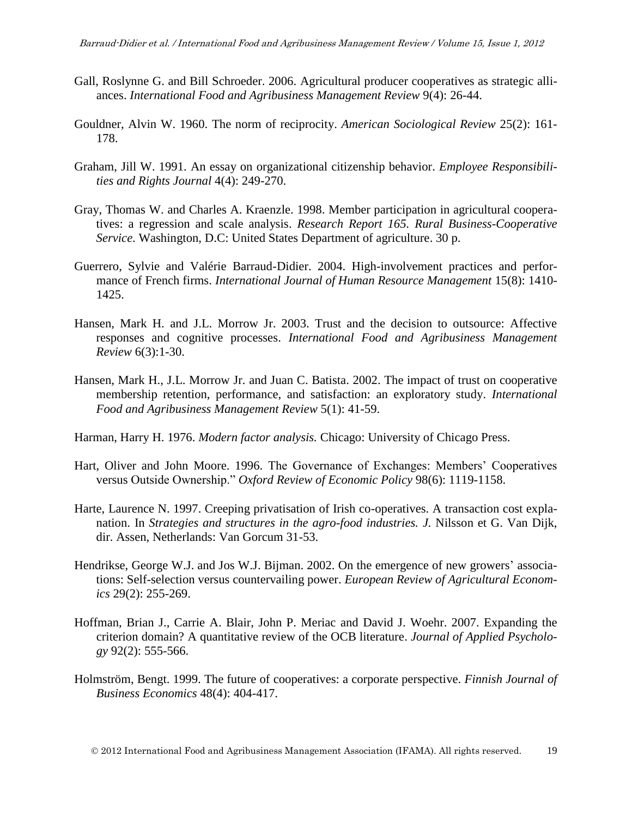- Gall, Roslynne G. and Bill Schroeder. 2006. Agricultural producer cooperatives as strategic alliances. *International Food and Agribusiness Management Review* 9(4): 26-44.
- Gouldner, Alvin W. 1960. The norm of reciprocity. *American Sociological Review* 25(2): 161- 178.
- Graham, Jill W. 1991. An essay on organizational citizenship behavior. *Employee Responsibilities and Rights Journal* 4(4): 249-270.
- Gray, Thomas W. and Charles A. Kraenzle. 1998. Member participation in agricultural cooperatives: a regression and scale analysis. *Research Report 165. Rural Business-Cooperative Service*. Washington, D.C: United States Department of agriculture. 30 p.
- Guerrero, Sylvie and Valérie Barraud-Didier. 2004. High-involvement practices and performance of French firms. *International Journal of Human Resource Management* 15(8): 1410- 1425.
- Hansen, Mark H. and J.L. Morrow Jr. 2003. Trust and the decision to outsource: Affective responses and cognitive processes. *International Food and Agribusiness Management Review* 6(3):1-30.
- Hansen, Mark H., J.L. Morrow Jr. and Juan C. Batista. 2002. The impact of trust on cooperative membership retention, performance, and satisfaction: an exploratory study. *International Food and Agribusiness Management Review* 5(1): 41-59.
- Harman, Harry H. 1976. *Modern factor analysis.* Chicago: University of Chicago Press.
- Hart, Oliver and John Moore. 1996. The Governance of Exchanges: Members' Cooperatives versus Outside Ownership." *Oxford Review of Economic Policy* 98(6): 1119-1158.
- Harte, Laurence N. 1997. Creeping privatisation of Irish co-operatives. A transaction cost explanation. In *Strategies and structures in the agro-food industries. J.* Nilsson et G. Van Dijk, dir. Assen, Netherlands: Van Gorcum 31-53.
- Hendrikse, George W.J. and Jos W.J. Bijman. 2002. On the emergence of new growers' associations: Self-selection versus countervailing power. *European Review of Agricultural Economics* 29(2): 255-269.
- Hoffman, Brian J., Carrie A. Blair, John P. Meriac and David J. Woehr. 2007. Expanding the criterion domain? A quantitative review of the OCB literature. *Journal of Applied Psychology* 92(2): 555-566.
- Holmström, Bengt. 1999. The future of cooperatives: a corporate perspective. *Finnish Journal of Business Economics* 48(4): 404-417.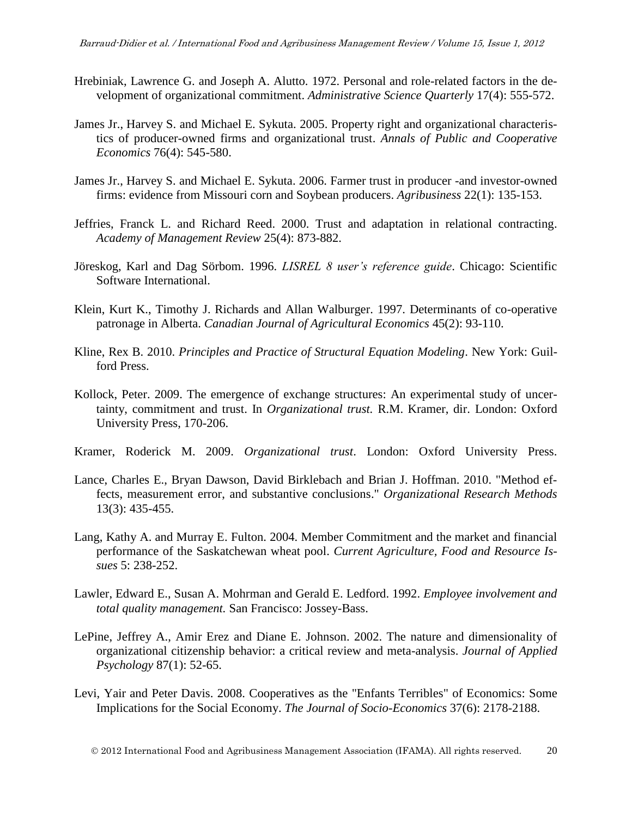- Hrebiniak, Lawrence G. and Joseph A. Alutto. 1972. Personal and role-related factors in the development of organizational commitment. *Administrative Science Quarterly* 17(4): 555-572.
- James Jr., Harvey S. and Michael E. Sykuta. 2005. Property right and organizational characteristics of producer-owned firms and organizational trust. *Annals of Public and Cooperative Economics* 76(4): 545-580.
- James Jr., Harvey S. and Michael E. Sykuta. 2006. Farmer trust in producer -and investor-owned firms: evidence from Missouri corn and Soybean producers. *Agribusiness* 22(1): 135-153.
- Jeffries, Franck L. and Richard Reed. 2000. Trust and adaptation in relational contracting. *Academy of Management Review* 25(4): 873-882.
- Jöreskog, Karl and Dag Sörbom. 1996. *LISREL 8 user's reference guide*. Chicago: Scientific Software International.
- Klein, Kurt K., Timothy J. Richards and Allan Walburger. 1997. Determinants of co-operative patronage in Alberta. *Canadian Journal of Agricultural Economics* 45(2): 93-110.
- Kline, Rex B. 2010. *Principles and Practice of Structural Equation Modeling*. New York: Guilford Press.
- Kollock, Peter. 2009. The emergence of exchange structures: An experimental study of uncertainty, commitment and trust. In *Organizational trust.* R.M. Kramer, dir. London: Oxford University Press, 170-206.
- Kramer, Roderick M. 2009. *Organizational trust*. London: Oxford University Press.
- Lance, Charles E., Bryan Dawson, David Birklebach and Brian J. Hoffman. 2010. "Method effects, measurement error, and substantive conclusions." *Organizational Research Methods* 13(3): 435-455.
- Lang, Kathy A. and Murray E. Fulton. 2004. Member Commitment and the market and financial performance of the Saskatchewan wheat pool. *Current Agriculture, Food and Resource Issues* 5: 238-252.
- Lawler, Edward E., Susan A. Mohrman and Gerald E. Ledford. 1992. *Employee involvement and total quality management.* San Francisco: Jossey-Bass.
- LePine, Jeffrey A., Amir Erez and Diane E. Johnson. 2002. The nature and dimensionality of organizational citizenship behavior: a critical review and meta-analysis. *Journal of Applied Psychology* 87(1): 52-65.
- Levi, Yair and Peter Davis. 2008. Cooperatives as the "Enfants Terribles" of Economics: Some Implications for the Social Economy. *The Journal of Socio-Economics* 37(6): 2178-2188.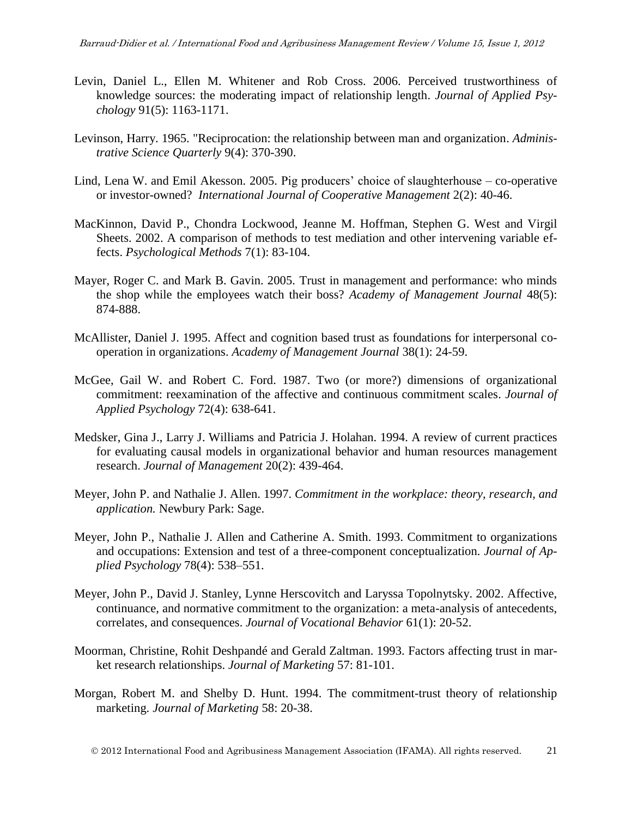- Levin, Daniel L., Ellen M. Whitener and Rob Cross. 2006. Perceived trustworthiness of knowledge sources: the moderating impact of relationship length. *Journal of Applied Psychology* 91(5): 1163-1171.
- Levinson, Harry. 1965. "Reciprocation: the relationship between man and organization. *Administrative Science Quarterly* 9(4): 370-390.
- Lind, Lena W. and Emil Akesson. 2005. Pig producers' choice of slaughterhouse co-operative or investor-owned? *International Journal of Cooperative Management* 2(2): 40-46.
- MacKinnon, David P., Chondra Lockwood, Jeanne M. Hoffman, Stephen G. West and Virgil Sheets. 2002. A comparison of methods to test mediation and other intervening variable effects. *Psychological Methods* 7(1): 83-104.
- Mayer, Roger C. and Mark B. Gavin. 2005. Trust in management and performance: who minds the shop while the employees watch their boss? *Academy of Management Journal* 48(5): 874-888.
- McAllister, Daniel J. 1995. Affect and cognition based trust as foundations for interpersonal cooperation in organizations. *Academy of Management Journal* 38(1): 24-59.
- McGee, Gail W. and Robert C. Ford. 1987. Two (or more?) dimensions of organizational commitment: reexamination of the affective and continuous commitment scales. *Journal of Applied Psychology* 72(4): 638-641.
- Medsker, Gina J., Larry J. Williams and Patricia J. Holahan. 1994. A review of current practices for evaluating causal models in organizational behavior and human resources management research. *Journal of Management* 20(2): 439-464.
- Meyer, John P. and Nathalie J. Allen. 1997. *Commitment in the workplace: theory, research, and application.* Newbury Park: Sage.
- Meyer, John P., Nathalie J. Allen and Catherine A. Smith. 1993. Commitment to organizations and occupations: Extension and test of a three-component conceptualization. *Journal of Applied Psychology* 78(4): 538–551.
- Meyer, John P., David J. Stanley, Lynne Herscovitch and Laryssa Topolnytsky. 2002. Affective, continuance, and normative commitment to the organization: a meta-analysis of antecedents, correlates, and consequences. *Journal of Vocational Behavior* 61(1): 20-52.
- Moorman, Christine, Rohit Deshpandé and Gerald Zaltman. 1993. Factors affecting trust in market research relationships. *Journal of Marketing* 57: 81-101.
- Morgan, Robert M. and Shelby D. Hunt. 1994. The commitment-trust theory of relationship marketing. *Journal of Marketing* 58: 20-38.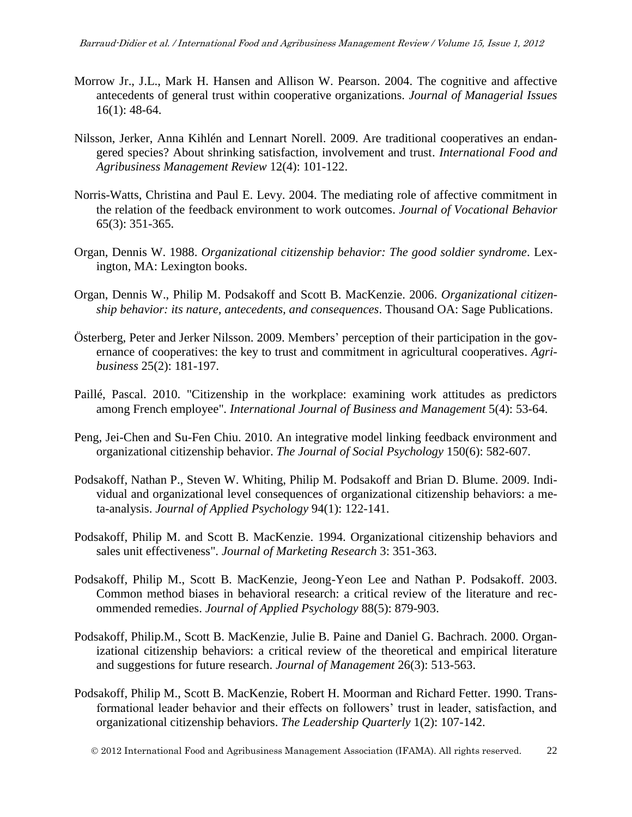- Morrow Jr., J.L., Mark H. Hansen and Allison W. Pearson. 2004. The cognitive and affective antecedents of general trust within cooperative organizations. *Journal of Managerial Issues* 16(1): 48-64.
- Nilsson, Jerker, Anna Kihlén and Lennart Norell. 2009. Are traditional cooperatives an endangered species? About shrinking satisfaction, involvement and trust. *International Food and Agribusiness Management Review* 12(4): 101-122.
- Norris-Watts, Christina and Paul E. Levy. 2004. The mediating role of affective commitment in the relation of the feedback environment to work outcomes. *Journal of Vocational Behavior* 65(3): 351-365.
- Organ, Dennis W. 1988. *Organizational citizenship behavior: The good soldier syndrome*. Lexington, MA: Lexington books.
- Organ, Dennis W., Philip M. Podsakoff and Scott B. MacKenzie. 2006. *Organizational citizenship behavior: its nature, antecedents, and consequences*. Thousand OA: Sage Publications.
- Österberg, Peter and Jerker Nilsson. 2009. Members' perception of their participation in the governance of cooperatives: the key to trust and commitment in agricultural cooperatives. *Agribusiness* 25(2): 181-197.
- Paillé, Pascal. 2010. "Citizenship in the workplace: examining work attitudes as predictors among French employee"*. International Journal of Business and Management* 5(4): 53-64.
- Peng, Jei-Chen and Su-Fen Chiu. 2010. An integrative model linking feedback environment and organizational citizenship behavior. *The Journal of Social Psychology* 150(6): 582-607.
- Podsakoff, Nathan P., Steven W. Whiting, Philip M. Podsakoff and Brian D. Blume. 2009. Individual and organizational level consequences of organizational citizenship behaviors: a meta-analysis. *Journal of Applied Psychology* 94(1): 122-141.
- Podsakoff, Philip M. and Scott B. MacKenzie. 1994. Organizational citizenship behaviors and sales unit effectiveness". *Journal of Marketing Research* 3: 351-363.
- Podsakoff, Philip M., Scott B. MacKenzie, Jeong-Yeon Lee and Nathan P. Podsakoff. 2003. Common method biases in behavioral research: a critical review of the literature and recommended remedies. *Journal of Applied Psychology* 88(5): 879-903.
- Podsakoff, Philip.M., Scott B. MacKenzie, Julie B. Paine and Daniel G. Bachrach. 2000. Organizational citizenship behaviors: a critical review of the theoretical and empirical literature and suggestions for future research. *Journal of Management* 26(3): 513-563.
- Podsakoff, Philip M., Scott B. MacKenzie, Robert H. Moorman and Richard Fetter. 1990. Transformational leader behavior and their effects on followers' trust in leader, satisfaction, and organizational citizenship behaviors. *The Leadership Quarterly* 1(2): 107-142.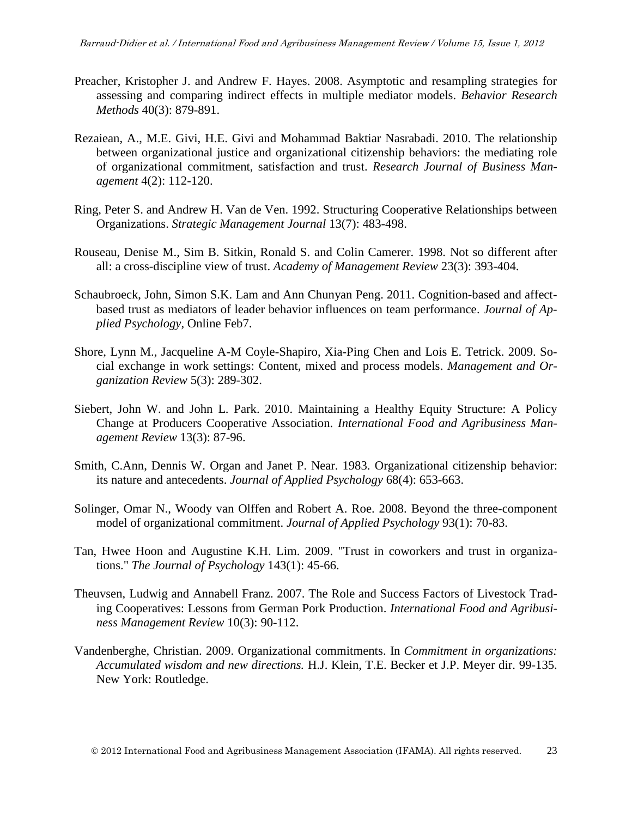- Preacher, Kristopher J. and [Andrew F. Hayes. 2008. Asymptotic and resampling strategies for](http://dx.doi.org/10.3758/BRM.40.3.879)  [assessing and comparing indirect effects in multiple mediator models.](http://dx.doi.org/10.3758/BRM.40.3.879) *Behavior Research Methods* 40(3): [879-891.](http://dx.doi.org/10.3758/BRM.40.3.879)
- Rezaiean, A., M.E. Givi, H.E. Givi and Mohammad Baktiar Nasrabadi. 2010. The relationship between organizational justice and organizational citizenship behaviors: the mediating role of organizational commitment, satisfaction and trust. *Research Journal of Business Management* 4(2): 112-120.
- Ring, Peter S. and Andrew H. Van de Ven. 1992. Structuring Cooperative Relationships between Organizations. *Strategic Management Journal* 13(7): 483-498.
- Rouseau, Denise M., Sim B. Sitkin, Ronald S. and Colin Camerer. 1998. Not so different after all: a cross-discipline view of trust. *Academy of Management Review* 23(3): 393-404.
- Schaubroeck, John, Simon S.K. Lam and Ann Chunyan Peng. 2011. Cognition-based and affectbased trust as mediators of leader behavior influences on team performance. *Journal of Applied Psychology*, Online Feb7.
- Shore, Lynn M., Jacqueline A-M Coyle-Shapiro, Xia-Ping Chen and Lois E. Tetrick. 2009. Social exchange in work settings: Content, mixed and process models. *Management and Organization Review* 5(3): 289-302.
- Siebert, John W. and John L. Park. 2010. Maintaining a Healthy Equity Structure: A Policy Change at Producers Cooperative Association. *International Food and Agribusiness Management Review* 13(3): 87-96.
- Smith, C.Ann, Dennis W. Organ and Janet P. Near. 1983. Organizational citizenship behavior: its nature and antecedents. *Journal of Applied Psychology* 68(4): 653-663.
- Solinger, Omar N., Woody van Olffen and Robert A. Roe. 2008. Beyond the three-component model of organizational commitment. *Journal of Applied Psychology* 93(1): 70-83.
- Tan, Hwee Hoon and Augustine K.H. Lim. 2009. "Trust in coworkers and trust in organizations." *The Journal of Psychology* 143(1): 45-66.
- Theuvsen, Ludwig and Annabell Franz. 2007. The Role and Success Factors of Livestock Trading Cooperatives: Lessons from German Pork Production. *International Food and Agribusiness Management Review* 10(3): 90-112.
- Vandenberghe, Christian. 2009. Organizational commitments. In *Commitment in organizations: Accumulated wisdom and new directions.* H.J. Klein, T.E. Becker et J.P. Meyer dir. 99-135. New York: Routledge.